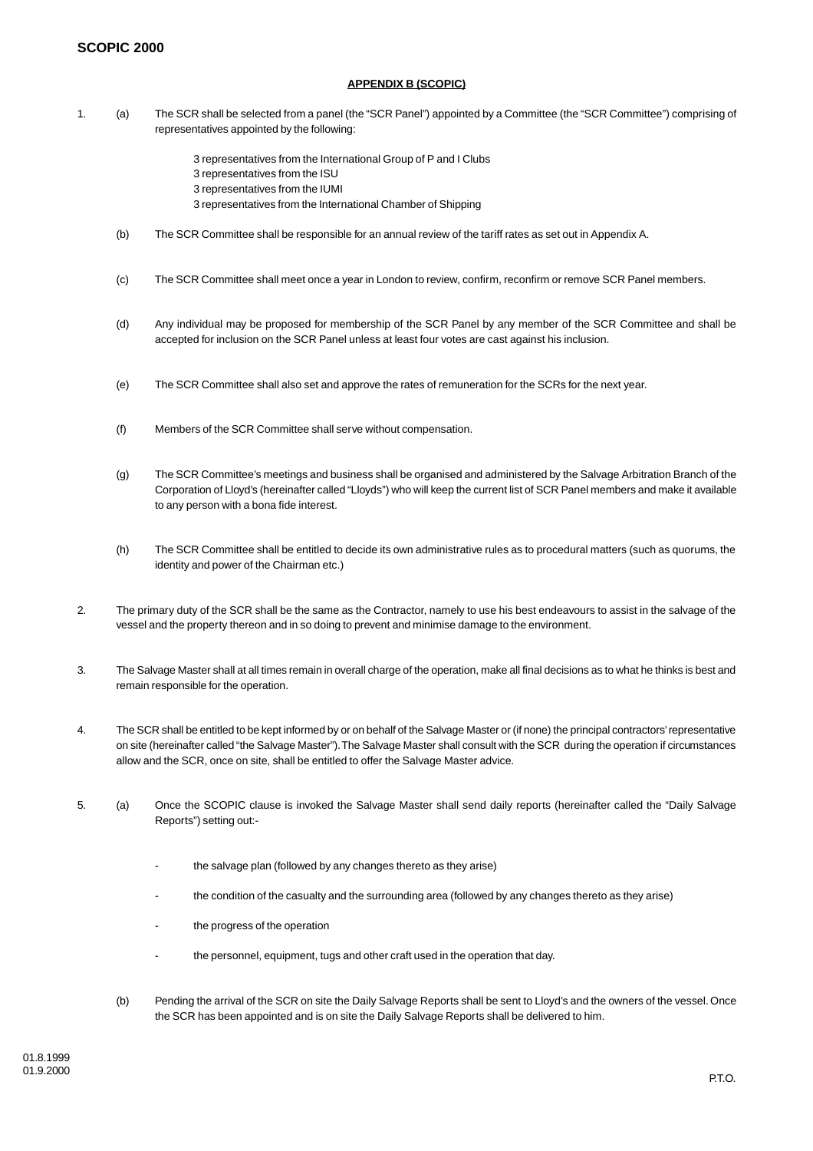## **SCOPIC 2000**

## **APPENDIX B (SCOPIC)**

- 1. (a) The SCR shall be selected from a panel (the "SCR Panel") appointed by a Committee (the "SCR Committee") comprising of representatives appointed by the following:
	- 3 representatives from the International Group of P and I Clubs
	- 3 representatives from the ISU
	- 3 representatives from the IUMI
	- 3 representatives from the International Chamber of Shipping
	- (b) The SCR Committee shall be responsible for an annual review of the tariff rates as set out in Appendix A.
	- (c) The SCR Committee shall meet once a year in London to review, confirm, reconfirm or remove SCR Panel members.
	- (d) Any individual may be proposed for membership of the SCR Panel by any member of the SCR Committee and shall be accepted for inclusion on the SCR Panel unless at least four votes are cast against his inclusion.
	- (e) The SCR Committee shall also set and approve the rates of remuneration for the SCRs for the next year.
	- (f) Members of the SCR Committee shall serve without compensation.
	- (g) The SCR Committee's meetings and business shall be organised and administered by the Salvage Arbitration Branch of the Corporation of Lloyd's (hereinafter called "Lloyds") who will keep the current list of SCR Panel members and make it available to any person with a bona fide interest.
	- (h) The SCR Committee shall be entitled to decide its own administrative rules as to procedural matters (such as quorums, the identity and power of the Chairman etc.)
- 2. The primary duty of the SCR shall be the same as the Contractor, namely to use his best endeavours to assist in the salvage of the vessel and the property thereon and in so doing to prevent and minimise damage to the environment.
- 3. The Salvage Master shall at all times remain in overall charge of the operation, make all final decisions as to what he thinks is best and remain responsible for the operation.
- 4. The SCR shall be entitled to be kept informed by or on behalf of the Salvage Master or (if none) the principal contractors' representative on site (hereinafter called "the Salvage Master"). The Salvage Master shall consult with the SCR during the operation if circumstances allow and the SCR, once on site, shall be entitled to offer the Salvage Master advice.
- 5. (a) Once the SCOPIC clause is invoked the Salvage Master shall send daily reports (hereinafter called the "Daily Salvage Reports") setting out:-
	- the salvage plan (followed by any changes thereto as they arise)
	- the condition of the casualty and the surrounding area (followed by any changes thereto as they arise)
	- the progress of the operation
	- the personnel, equipment, tugs and other craft used in the operation that day.
	- (b) Pending the arrival of the SCR on site the Daily Salvage Reports shall be sent to Lloyd's and the owners of the vessel. Once the SCR has been appointed and is on site the Daily Salvage Reports shall be delivered to him.